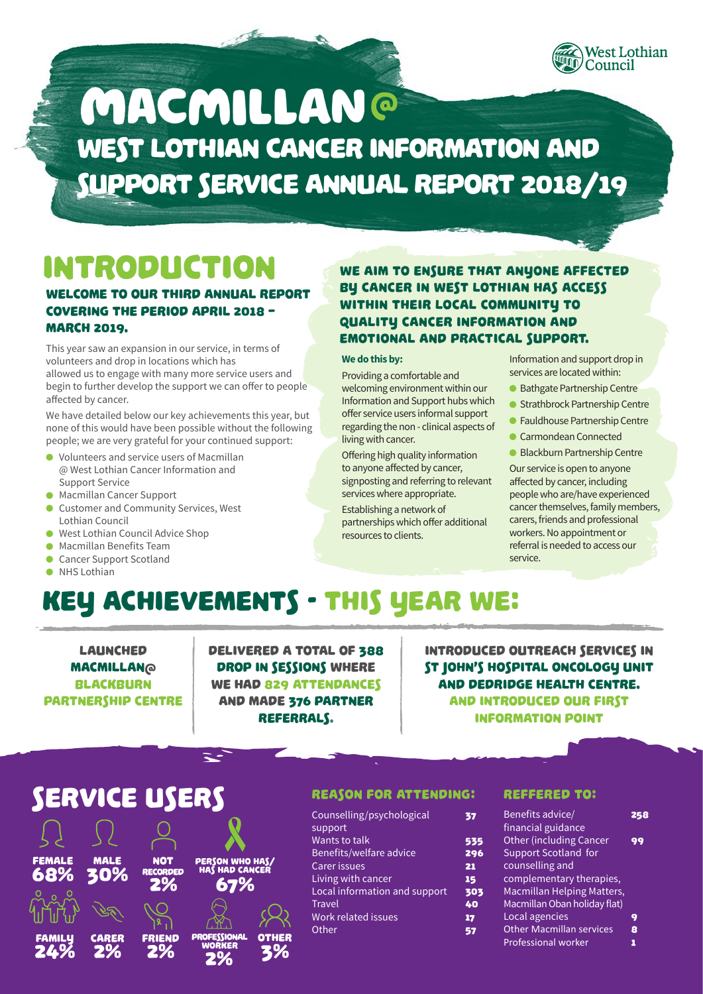

# West Lothian Cancer Information and Support Service Annual Report 2018/19 **MACMILLAN®**

# Introduction

#### Welcome to our Third annual report covering the period April 2018 – **MARCH 2019.**

This year saw an expansion in our service, in terms of volunteers and drop in locations which has allowed us to engage with many more service users and begin to further develop the support we can offer to people affected by cancer.

We have detailed below our key achievements this year, but none of this would have been possible without the following people; we are very grateful for your continued support:

- Volunteers and service users of Macmillan @ West Lothian Cancer Information and Support Service
- **Macmillan Cancer Support**
- Customer and Community Services, West Lothian Council
- West Lothian Council Advice Shop
- Macmillan Benefits Team
- Cancer Support Scotland
- O NHS Lothian

#### WE AIM TO ENSURE THAT ANYONE AFFECTED by cancer in West Lothian has access within their local community to quality cancer information and emotional and practical support.

#### **We do this by:**

Providing a comfortable and welcoming environment within our Information and Support hubs which offer service users informal support regarding the non - clinical aspects of living with cancer.

Offering high quality information to anyone affected by cancer, signposting and referring to relevant services where appropriate.

Establishing a network of partnerships which offer additional resources to clients.

Information and support drop in services are located within:

- Bathgate Partnership Centre
- Strathbrock Partnership Centre
- **•** Fauldhouse Partnership Centre
- Carmondean Connected
- Blackburn Partnership Centre

Our service is open to anyone affected by cancer, including people who are/have experienced cancer themselves, family members, carers, friends and professional workers. No appointment or referral is needed to access our service.

# Key achievements - THis year we:

**LAUNCHED** Macmillan@ **BLACKBURN** Partnership Centre Delivered a total of 388 drop in sessions where WE HAD 829 ATTENDANCES and made 376 PARTNER referrals.

Introduced outreach services in St John's Hospital Oncology Unit and Dedridge Health Centre. And introduced our first Information Point

### Service Users



#### Reason for attending:

| Counselling/psychological     | 37  |
|-------------------------------|-----|
| support                       |     |
| Wants to talk                 | 535 |
| Benefits/welfare advice       | 296 |
| <b>Carer issues</b>           | 21  |
| Living with cancer            | 15  |
| Local information and support | 303 |
| <b>Travel</b>                 | 40  |
| Work related issues           | 17  |
| Other                         | 57  |
|                               |     |

#### REFFERED TO:

| Benefits advice/                |    |
|---------------------------------|----|
| financial guidance              |    |
| <b>Other (including Cancer</b>  | 99 |
| Support Scotland for            |    |
| counselling and                 |    |
| complementary therapies,        |    |
| Macmillan Helping Matters,      |    |
| Macmillan Oban holiday flat)    |    |
| Local agencies                  | 9  |
| <b>Other Macmillan services</b> | 8  |
| <b>Professional worker</b>      |    |
|                                 |    |